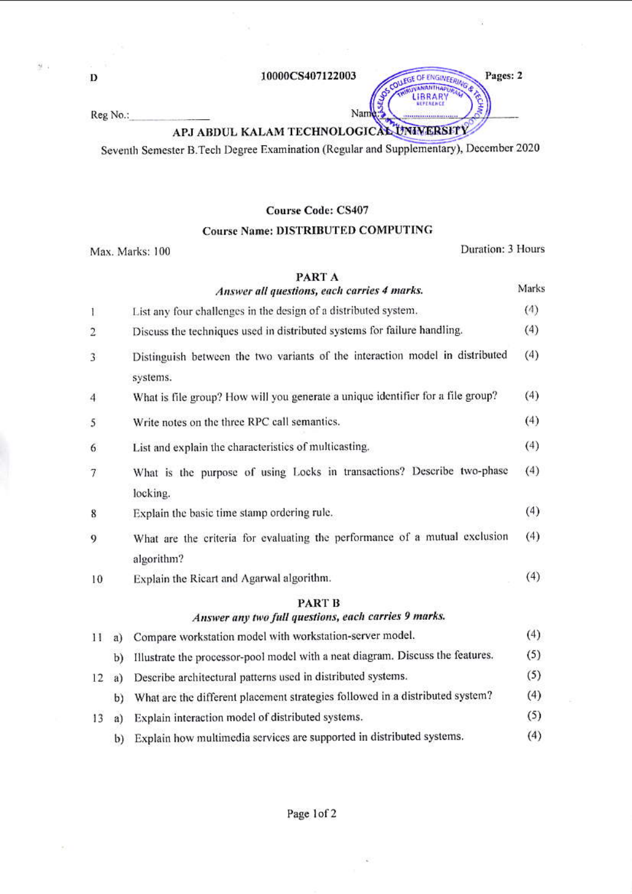$\frac{1}{2}$  .

### 10000CS407122003

Reg No.:

## APJ ABDUL KALAM TECHNOLOGICAL UNIVERSITY

Nam

Seventh Semester B.Tech Degree Examination (Regular and Supplementary), December 2020

### **Course Code: CS407**

## **Course Name: DISTRIBUTED COMPUTING**

Max. Marks: 100

Duration: 3 Hours

Pages: 2

LEGE OF ENGINEERING

LIBRAR'

## PART A

|                |    | Answer all questions, each carries 4 marks.                                              | Marks |
|----------------|----|------------------------------------------------------------------------------------------|-------|
| $\mathbf{I}$   |    | List any four challenges in the design of a distributed system.                          | (4)   |
| $\overline{c}$ |    | Discuss the techniques used in distributed systems for failure handling.                 | (4)   |
| 3              |    | Distinguish between the two variants of the interaction model in distributed<br>systems. | (4)   |
| 4              |    | What is file group? How will you generate a unique identifier for a file group?          | (4)   |
| 5              |    | Write notes on the three RPC call semantics.                                             | (4)   |
| 6              |    | List and explain the characteristics of multicasting.                                    | (4)   |
| 7              |    | What is the purpose of using Locks in transactions? Describe two-phase                   | (4)   |
| 8              |    | locking.<br>Explain the basic time stamp ordering rule.                                  | (4)   |
| 9              |    | What are the criteria for evaluating the performance of a mutual exclusion<br>algorithm? | (4)   |
| 10             |    | Explain the Ricart and Agarwal algorithm.                                                | (4)   |
|                |    | <b>PART B</b><br>Answer any two full questions, each carries 9 marks.                    |       |
| 11             | a) | Compare workstation model with workstation-server model.                                 | (4)   |
|                | b) | Illustrate the processor-pool model with a neat diagram. Discuss the features.           | (5)   |
| 12             | a) | Describe architectural patterns used in distributed systems.                             | (5)   |
|                | b) | What are the different placement strategies followed in a distributed system?            | (4)   |
| 13             | a) | Explain interaction model of distributed systems.                                        | (5)   |

b) Explain how multimedia services are supported in distributed systems.  $(4)$